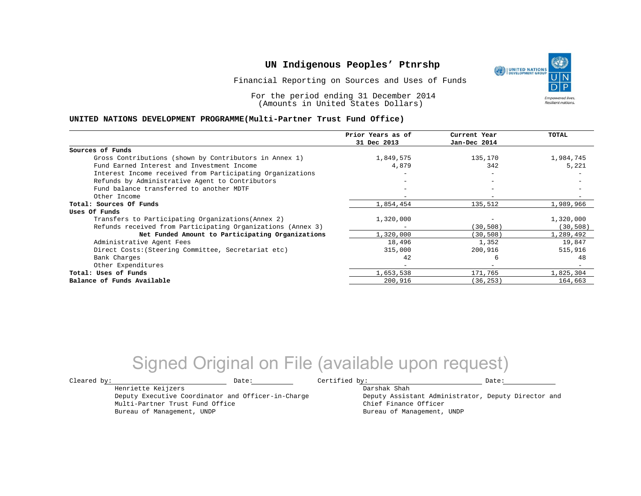Financial Reporting on Sources and Uses of Funds

For the period ending 31 December 2014 (Amounts in United States Dollars)

#### **UNITED NATIONS DEVELOPMENT PROGRAMME(Multi-Partner Trust Fund Office)**

|                                                             | Prior Years as of<br>31 Dec 2013 | Current Year<br>Jan-Dec 2014 | TOTAL     |
|-------------------------------------------------------------|----------------------------------|------------------------------|-----------|
|                                                             |                                  |                              |           |
| Sources of Funds                                            |                                  |                              |           |
| Gross Contributions (shown by Contributors in Annex 1)      | 1,849,575                        | 135,170                      | 1,984,745 |
| Fund Earned Interest and Investment Income                  | 4,879                            | 342                          | 5,221     |
| Interest Income received from Participating Organizations   |                                  |                              |           |
| Refunds by Administrative Agent to Contributors             |                                  | $-$                          |           |
| Fund balance transferred to another MDTF                    |                                  | $\overline{\phantom{0}}$     |           |
| Other Income                                                |                                  |                              |           |
| Total: Sources Of Funds                                     | 1,854,454                        | 135,512                      | 1,989,966 |
| Uses Of Funds                                               |                                  |                              |           |
| Transfers to Participating Organizations (Annex 2)          | 1,320,000                        |                              | 1,320,000 |
| Refunds received from Participating Organizations (Annex 3) |                                  | (30, 508)                    | (30, 508) |
| Net Funded Amount to Participating Organizations            | 1,320,000                        | (30, 508)                    | 1,289,492 |
| Administrative Agent Fees                                   | 18,496                           | 1,352                        | 19,847    |
| Direct Costs: (Steering Committee, Secretariat etc)         | 315,000                          | 200,916                      | 515,916   |
| Bank Charges                                                | 42                               | 6                            | 48        |
| Other Expenditures                                          | $\equiv$                         | $\overline{\phantom{m}}$     |           |
| Total: Uses of Funds                                        | 1,653,538                        | 171,765                      | 1,825,304 |
| Balance of Funds Available                                  | 200,916                          | (36, 253)                    | 164,663   |

# Signed Original on File (available upon request)

Henriette Keijzers

Multi-Partner Trust Fund Office Bureau of Management, UNDP

Deputy Executive Coordinator and Officer-in-Charge

 $\texttt{Cleared by:}\footnotesize \begin{minipage}{0.9\linewidth} \texttt{Date:}\footnotesize \begin{minipage}{0.9\linewidth} \texttt{Date:}\footnotesize \begin{minipage}{0.9\linewidth} \end{minipage} \end{minipage}$ 

Darshak Shah

Deputy Assistant Administrator, Deputy Director and Chief Finance Officer Bureau of Management, UNDP

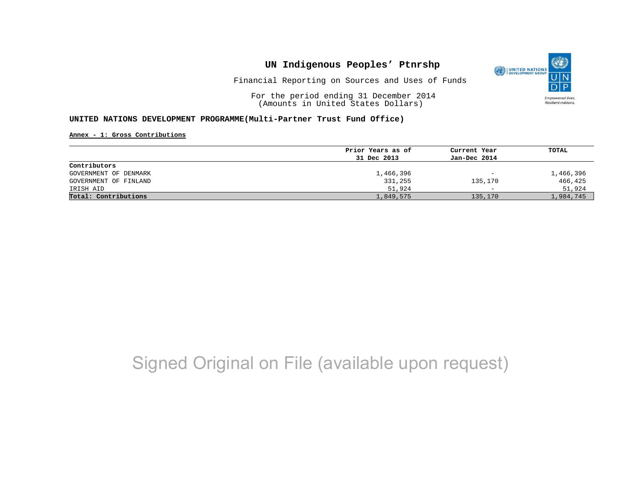

Financial Reporting on Sources and Uses of Funds

For the period ending 31 December 2014 (Amounts in United States Dollars)

### **UNITED NATIONS DEVELOPMENT PROGRAMME(Multi-Partner Trust Fund Office)**

**Annex - 1: Gross Contributions**

|                       | Prior Years as of | Current Year             | TOTAL     |
|-----------------------|-------------------|--------------------------|-----------|
|                       | 31 Dec 2013       | Jan-Dec 2014             |           |
| Contributors          |                   |                          |           |
| GOVERNMENT OF DENMARK | 1,466,396         | $\overline{\phantom{m}}$ | 1,466,396 |
| GOVERNMENT OF FINLAND | 331,255           | 135,170                  | 466,425   |
| IRISH AID             | 51,924            | $\overline{\phantom{0}}$ | 51,924    |
| Total: Contributions  | 1,849,575         | 135,170                  | 1,984,745 |

# Signed Original on File (available upon request)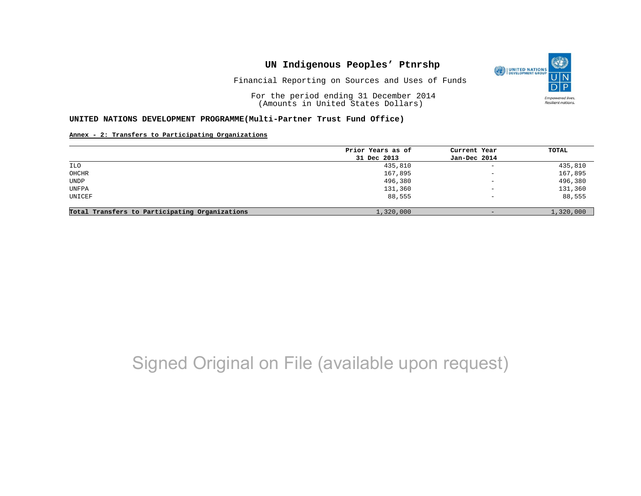

Financial Reporting on Sources and Uses of Funds

For the period ending 31 December 2014 (Amounts in United States Dollars)

#### **UNITED NATIONS DEVELOPMENT PROGRAMME(Multi-Partner Trust Fund Office)**

### **Annex - 2: Transfers to Participating Organizations**

|                                                | Prior Years as of | Current Year                    | TOTAL     |
|------------------------------------------------|-------------------|---------------------------------|-----------|
|                                                | 31 Dec 2013       | Jan-Dec 2014                    |           |
| ILO                                            | 435,810           | $\equiv$                        | 435,810   |
| OHCHR                                          | 167,895           | $\overline{\phantom{m}}$        | 167,895   |
| UNDP                                           | 496,380           | $\hspace{0.1mm}-\hspace{0.1mm}$ | 496,380   |
| UNFPA                                          | 131,360           | $\qquad \qquad -$               | 131,360   |
| UNICEF                                         | 88,555            | $\overline{\phantom{0}}$        | 88,555    |
|                                                |                   |                                 |           |
| Total Transfers to Participating Organizations | 1,320,000         | $-$                             | 1,320,000 |

# Signed Original on File (available upon request)